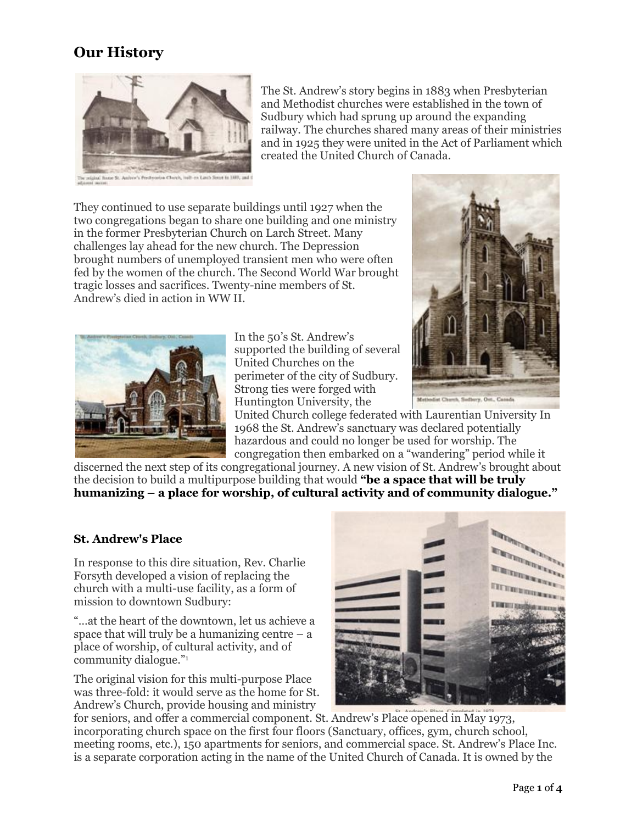## **Our History**



The St. Andrew's story begins in 1883 when Presbyterian and Methodist churches were established in the town of Sudbury which had sprung up around the expanding railway. The churches shared many areas of their ministries and in 1925 they were united in the Act of Parliament which created the United Church of Canada.

They continued to use separate buildings until 1927 when the two congregations began to share one building and one ministry in the former Presbyterian Church on Larch Street. Many challenges lay ahead for the new church. The Depression brought numbers of unemployed transient men who were often fed by the women of the church. The Second World War brought tragic losses and sacrifices. Twenty-nine members of St. Andrew's died in action in WW II.



In the 50's St. Andrew's supported the building of several United Churches on the perimeter of the city of Sudbury. Strong ties were forged with Huntington University, the



United Church college federated with Laurentian University In 1968 the St. Andrew's sanctuary was declared potentially hazardous and could no longer be used for worship. The congregation then embarked on a "wandering" period while it

discerned the next step of its congregational journey. A new vision of St. Andrew's brought about the decision to build a multipurpose building that would **"be a space that will be truly humanizing – a place for worship, of cultural activity and of community dialogue."**

## **St. Andrew's Place**

In response to this dire situation, Rev. Charlie Forsyth developed a vision of replacing the church with a multi-use facility, as a form of mission to downtown Sudbury:

"…at the heart of the downtown, let us achieve a space that will truly be a humanizing centre  $-$  a place of worship, of cultural activity, and of community dialogue."<sup>1</sup>

The original vision for this multi-purpose Place was three-fold: it would serve as the home for St. Andrew's Church, provide housing and ministry



for seniors, and offer a commercial component. St. Andrew's Place opened in May 1973, incorporating church space on the first four floors (Sanctuary, offices, gym, church school, meeting rooms, etc.), 150 apartments for seniors, and commercial space. St. Andrew's Place Inc. is a separate corporation acting in the name of the United Church of Canada. It is owned by the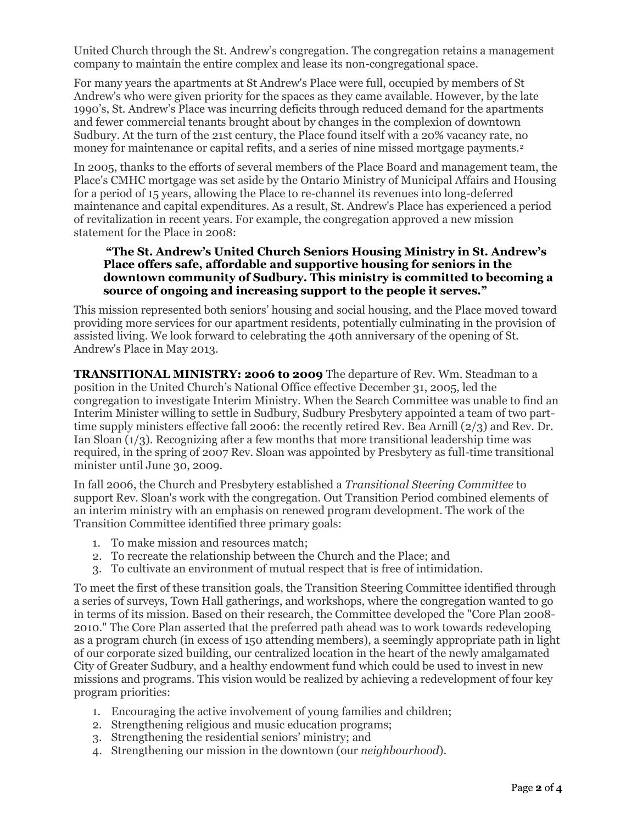United Church through the St. Andrew's congregation. The congregation retains a management company to maintain the entire complex and lease its non-congregational space.

For many years the apartments at St Andrew's Place were full, occupied by members of St Andrew's who were given priority for the spaces as they came available. However, by the late 1990's, St. Andrew's Place was incurring deficits through reduced demand for the apartments and fewer commercial tenants brought about by changes in the complexion of downtown Sudbury. At the turn of the 21st century, the Place found itself with a 20% vacancy rate, no money for maintenance or capital refits, and a series of nine missed mortgage payments.<sup>2</sup>

In 2005, thanks to the efforts of several members of the Place Board and management team, the Place's CMHC mortgage was set aside by the Ontario Ministry of Municipal Affairs and Housing for a period of 15 years, allowing the Place to re-channel its revenues into long-deferred maintenance and capital expenditures. As a result, St. Andrew's Place has experienced a period of revitalization in recent years. For example, the congregation approved a new mission statement for the Place in 2008:

## **"The St. Andrew's United Church Seniors Housing Ministry in St. Andrew's Place offers safe, affordable and supportive housing for seniors in the downtown community of Sudbury. This ministry is committed to becoming a source of ongoing and increasing support to the people it serves."**

This mission represented both seniors' housing and social housing, and the Place moved toward providing more services for our apartment residents, potentially culminating in the provision of assisted living. We look forward to celebrating the 40th anniversary of the opening of St. Andrew's Place in May 2013.

**TRANSITIONAL MINISTRY: 2006 to 2009** The departure of Rev. Wm. Steadman to a position in the United Church's National Office effective December 31, 2005, led the congregation to investigate Interim Ministry. When the Search Committee was unable to find an Interim Minister willing to settle in Sudbury, Sudbury Presbytery appointed a team of two parttime supply ministers effective fall 2006: the recently retired Rev. Bea Arnill (2/3) and Rev. Dr. Ian Sloan (1/3). Recognizing after a few months that more transitional leadership time was required, in the spring of 2007 Rev. Sloan was appointed by Presbytery as full-time transitional minister until June 30, 2009.

In fall 2006, the Church and Presbytery established a *Transitional Steering Committee* to support Rev. Sloan's work with the congregation. Out Transition Period combined elements of an interim ministry with an emphasis on renewed program development. The work of the Transition Committee identified three primary goals:

- 1. To make mission and resources match;
- 2. To recreate the relationship between the Church and the Place; and
- 3. To cultivate an environment of mutual respect that is free of intimidation.

To meet the first of these transition goals, the Transition Steering Committee identified through a series of surveys, Town Hall gatherings, and workshops, where the congregation wanted to go in terms of its mission. Based on their research, the Committee developed the "Core Plan 2008- 2010." The Core Plan asserted that the preferred path ahead was to work towards redeveloping as a program church (in excess of 150 attending members), a seemingly appropriate path in light of our corporate sized building, our centralized location in the heart of the newly amalgamated City of Greater Sudbury, and a healthy endowment fund which could be used to invest in new missions and programs. This vision would be realized by achieving a redevelopment of four key program priorities:

- 1. Encouraging the active involvement of young families and children;
- 2. Strengthening religious and music education programs;
- 3. Strengthening the residential seniors' ministry; and
- 4. Strengthening our mission in the downtown (our *neighbourhood*).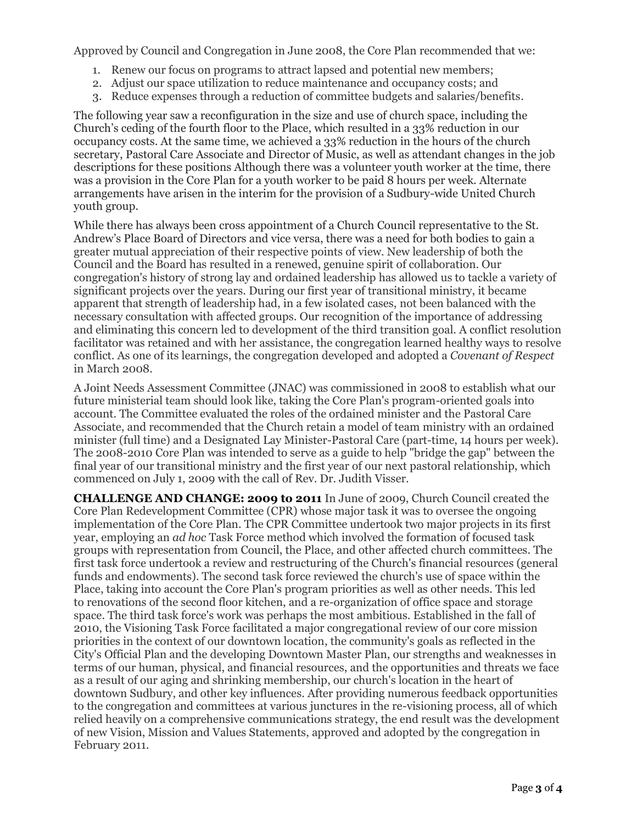Approved by Council and Congregation in June 2008, the Core Plan recommended that we:

- 1. Renew our focus on programs to attract lapsed and potential new members;
- 2. Adjust our space utilization to reduce maintenance and occupancy costs; and
- 3. Reduce expenses through a reduction of committee budgets and salaries/benefits.

The following year saw a reconfiguration in the size and use of church space, including the Church's ceding of the fourth floor to the Place, which resulted in a 33% reduction in our occupancy costs. At the same time, we achieved a 33% reduction in the hours of the church secretary, Pastoral Care Associate and Director of Music, as well as attendant changes in the job descriptions for these positions Although there was a volunteer youth worker at the time, there was a provision in the Core Plan for a youth worker to be paid 8 hours per week. Alternate arrangements have arisen in the interim for the provision of a Sudbury-wide United Church youth group.

While there has always been cross appointment of a Church Council representative to the St. Andrew's Place Board of Directors and vice versa, there was a need for both bodies to gain a greater mutual appreciation of their respective points of view. New leadership of both the Council and the Board has resulted in a renewed, genuine spirit of collaboration. Our congregation's history of strong lay and ordained leadership has allowed us to tackle a variety of significant projects over the years. During our first year of transitional ministry, it became apparent that strength of leadership had, in a few isolated cases, not been balanced with the necessary consultation with affected groups. Our recognition of the importance of addressing and eliminating this concern led to development of the third transition goal. A conflict resolution facilitator was retained and with her assistance, the congregation learned healthy ways to resolve conflict. As one of its learnings, the congregation developed and adopted a *Covenant of Respect*  in March 2008.

A Joint Needs Assessment Committee (JNAC) was commissioned in 2008 to establish what our future ministerial team should look like, taking the Core Plan's program-oriented goals into account. The Committee evaluated the roles of the ordained minister and the Pastoral Care Associate, and recommended that the Church retain a model of team ministry with an ordained minister (full time) and a Designated Lay Minister-Pastoral Care (part-time, 14 hours per week). The 2008-2010 Core Plan was intended to serve as a guide to help "bridge the gap" between the final year of our transitional ministry and the first year of our next pastoral relationship, which commenced on July 1, 2009 with the call of Rev. Dr. Judith Visser.

**CHALLENGE AND CHANGE: 2009 to 2011** In June of 2009, Church Council created the Core Plan Redevelopment Committee (CPR) whose major task it was to oversee the ongoing implementation of the Core Plan. The CPR Committee undertook two major projects in its first year, employing an *ad hoc* Task Force method which involved the formation of focused task groups with representation from Council, the Place, and other affected church committees. The first task force undertook a review and restructuring of the Church's financial resources (general funds and endowments). The second task force reviewed the church's use of space within the Place, taking into account the Core Plan's program priorities as well as other needs. This led to renovations of the second floor kitchen, and a re-organization of office space and storage space. The third task force's work was perhaps the most ambitious. Established in the fall of 2010, the Visioning Task Force facilitated a major congregational review of our core mission priorities in the context of our downtown location, the community's goals as reflected in the City's Official Plan and the developing Downtown Master Plan, our strengths and weaknesses in terms of our human, physical, and financial resources, and the opportunities and threats we face as a result of our aging and shrinking membership, our church's location in the heart of downtown Sudbury, and other key influences. After providing numerous feedback opportunities to the congregation and committees at various junctures in the re-visioning process, all of which relied heavily on a comprehensive communications strategy, the end result was the development of new Vision, Mission and Values Statements, approved and adopted by the congregation in February 2011.